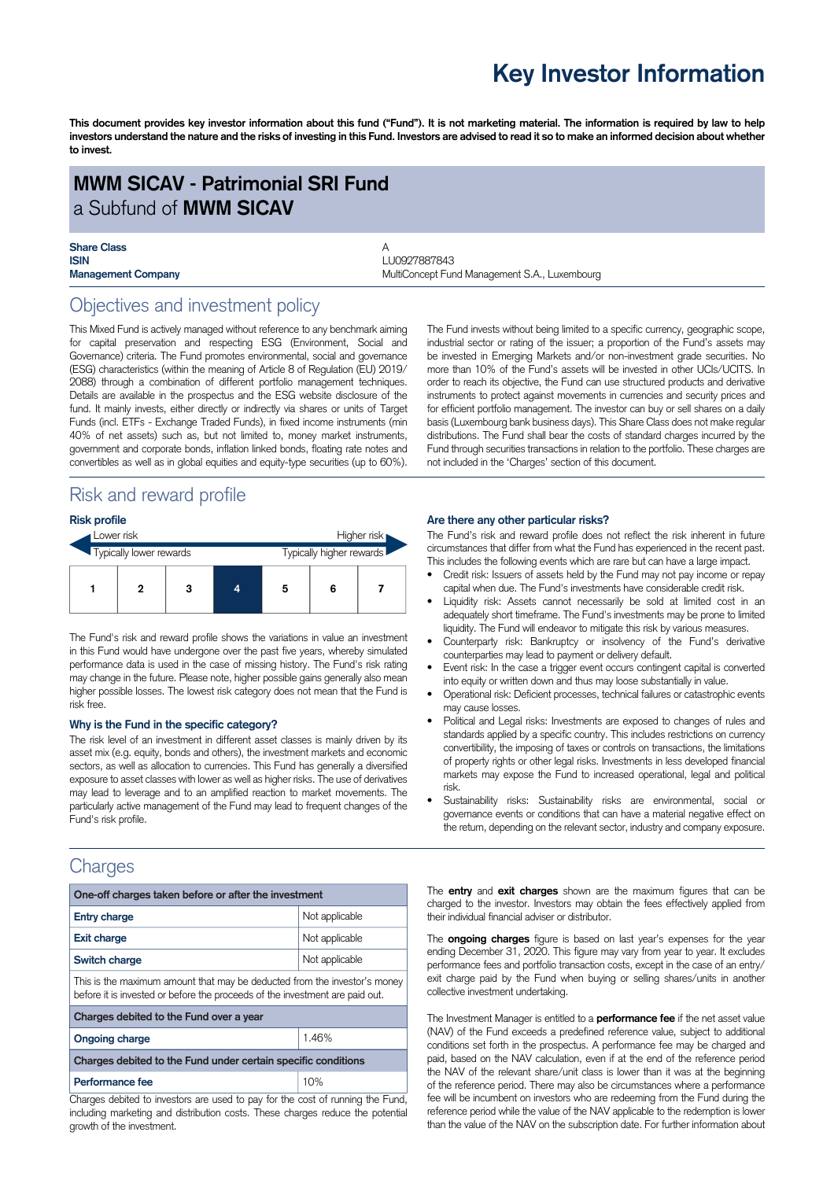## **Key Investor Information**

This document provides key investor information about this fund ("Fund"). It is not marketing material. The information is required by law to help investors understand the nature and the risks of investing in this Fund. Investors are advised to read it so to make an informed decision about whether **to invest.**

### **MWM SICAV - Patrimonial SRI Fund** a Subfund of **MWM SICAV**

# **Share Class**<br>**ISIN**

**ISIN** LU0927887843 **Management Company MultiConcept Fund Management S.A., Luxembourg Company** 

### Objectives and investment policy

This Mixed Fund is actively managed without reference to any benchmark aiming for capital preservation and respecting ESG (Environment, Social and Governance) criteria. The Fund promotes environmental, social and governance (ESG) characteristics (within the meaning of Article 8 of Regulation (EU) 2019/ 2088) through a combination of different portfolio management techniques. Details are available in the prospectus and the ESG website disclosure of the fund. It mainly invests, either directly or indirectly via shares or units of Target Funds (incl. ETFs - Exchange Traded Funds), in fixed income instruments (min 40% of net assets) such as, but not limited to, money market instruments, government and corporate bonds, inflation linked bonds, floating rate notes and convertibles as well as in global equities and equity-type securities (up to 60%).

### Risk and reward profile

#### **Risk profile**

| Lower risk |                         |  |   |  |   | Higher risk              |  |  |
|------------|-------------------------|--|---|--|---|--------------------------|--|--|
|            | Typically lower rewards |  |   |  |   | Typically higher rewards |  |  |
|            |                         |  | 3 |  | 5 | 6                        |  |  |

The Fund's risk and reward profile shows the variations in value an investment in this Fund would have undergone over the past five years, whereby simulated performance data is used in the case of missing history. The Fund's risk rating may change in the future. Please note, higher possible gains generally also mean higher possible losses. The lowest risk category does not mean that the Fund is risk free.

#### **Why is the Fund in the specific category?**

The risk level of an investment in different asset classes is mainly driven by its asset mix (e.g. equity, bonds and others), the investment markets and economic sectors, as well as allocation to currencies. This Fund has generally a diversified exposure to asset classes with lower as well as higher risks. The use of derivatives may lead to leverage and to an amplified reaction to market movements. The particularly active management of the Fund may lead to frequent changes of the Fund's risk profile.

### **Charges**

| One-off charges taken before or after the investment                                                                                                      |                |  |  |  |  |  |
|-----------------------------------------------------------------------------------------------------------------------------------------------------------|----------------|--|--|--|--|--|
| <b>Entry charge</b>                                                                                                                                       | Not applicable |  |  |  |  |  |
| <b>Exit charge</b>                                                                                                                                        | Not applicable |  |  |  |  |  |
| Switch charge                                                                                                                                             | Not applicable |  |  |  |  |  |
| This is the maximum amount that may be deducted from the investor's money<br>before it is invested or before the proceeds of the investment are paid out. |                |  |  |  |  |  |
| Charges debited to the Fund over a year                                                                                                                   |                |  |  |  |  |  |
| <b>Ongoing charge</b>                                                                                                                                     | 1.46%          |  |  |  |  |  |
| Charges debited to the Fund under certain specific conditions                                                                                             |                |  |  |  |  |  |
| Performance fee                                                                                                                                           | 10%            |  |  |  |  |  |

Charges debited to investors are used to pay for the cost of running the Fund, including marketing and distribution costs. These charges reduce the potential growth of the investment.

The Fund invests without being limited to a specific currency, geographic scope, industrial sector or rating of the issuer; a proportion of the Fund's assets may be invested in Emerging Markets and/or non-investment grade securities. No more than 10% of the Fund's assets will be invested in other UCIs/UCITS. In order to reach its objective, the Fund can use structured products and derivative instruments to protect against movements in currencies and security prices and for efficient portfolio management. The investor can buy or sell shares on a daily basis (Luxembourg bank business days). This Share Class does not make regular distributions. The Fund shall bear the costs of standard charges incurred by the Fund through securities transactions in relation to the portfolio. These charges are not included in the 'Charges' section of this document.

#### **Are there any other particular risks?**

The Fund's risk and reward profile does not reflect the risk inherent in future circumstances that differ from what the Fund has experienced in the recent past. This includes the following events which are rare but can have a large impact.

- Credit risk: Issuers of assets held by the Fund may not pay income or repay capital when due. The Fund's investments have considerable credit risk.
- Liquidity risk: Assets cannot necessarily be sold at limited cost in an adequately short timeframe. The Fund's investments may be prone to limited liquidity. The Fund will endeavor to mitigate this risk by various measures.
- Counterparty risk: Bankruptcy or insolvency of the Fund's derivative counterparties may lead to payment or delivery default.
- Event risk: In the case a trigger event occurs contingent capital is converted into equity or written down and thus may loose substantially in value.
- Operational risk: Deficient processes, technical failures or catastrophic events may cause losses.
- Political and Legal risks: Investments are exposed to changes of rules and standards applied by a specific country. This includes restrictions on currency convertibility, the imposing of taxes or controls on transactions, the limitations of property rights or other legal risks. Investments in less developed financial markets may expose the Fund to increased operational, legal and political risk.
- Sustainability risks: Sustainability risks are environmental, social or governance events or conditions that can have a material negative effect on the return, depending on the relevant sector, industry and company exposure.

The **entry** and **exit charges** shown are the maximum figures that can be charged to the investor. Investors may obtain the fees effectively applied from their individual financial adviser or distributor.

The **ongoing charges** figure is based on last year's expenses for the year ending December 31, 2020. This figure may vary from year to year. It excludes performance fees and portfolio transaction costs, except in the case of an entry/ exit charge paid by the Fund when buying or selling shares/units in another collective investment undertaking.

The Investment Manager is entitled to a **performance fee** if the net asset value (NAV) of the Fund exceeds a predefined reference value, subject to additional conditions set forth in the prospectus. A performance fee may be charged and paid, based on the NAV calculation, even if at the end of the reference period the NAV of the relevant share/unit class is lower than it was at the beginning of the reference period. There may also be circumstances where a performance fee will be incumbent on investors who are redeeming from the Fund during the reference period while the value of the NAV applicable to the redemption is lower than the value of the NAV on the subscription date. For further information about